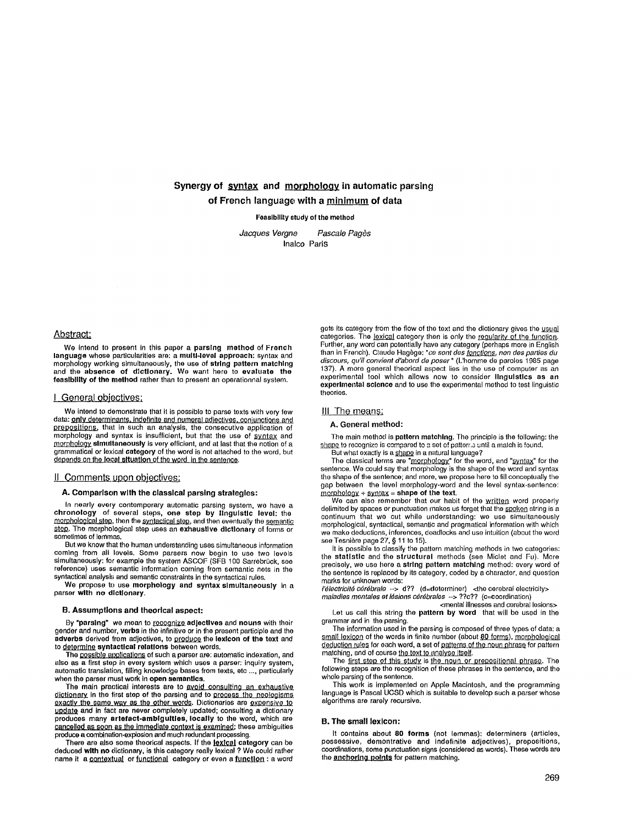# Synergy of syntax and morphology in automatic parsing of French language with a minimum of data

Feasibility study of the method

*Jacques Vergne Pascale Pages*  Inalco Paris

#### Abstract:

We intend to present in this paper a parsing method of **French**  language whose particularities are: a multi-level approach: syntax and morphology working simultaneously, the use of string **pattern matching**  and the absence of dlcUonary. We want here to evaluate **the**  feasibility of **the method** rather than to present an operationnal system.

#### I General objectives;

We intend to demonstrate that it is possible to parse texts with very few data: **<u>only determinants, indefinite and numeral adjectives, conjunctions and</u><br>prepositions, that in such an analysis, the consecutive application of** morphology and syntax is insufficient, but that the use of syntax and magnetic y simultaneously is very efficient, and at last that the notion of a grammatical or lexical category of the word is not attached to the word, but depends on the local situation of the word in the sentence.

#### II Comments upon objectives:

## A. Comparison with the classical parsing strategies:

In nearly every contemporary automatic parsing system, we have a **chronology** of several steps**, one step by linguistic level**: the<br><u>morphological step,</u> then the <u>syntactical step,</u> and then eventually the <u>semantic</u> step. The morphological step uses an exhaustive dictionary of forms or sometimes of lemmas.

But we know that the human understanding uses simultaneous information coming from all levels. Some parsers now begin to use two levels simultaneously: for example the system ASCOF (SFB t00 Sarrebrt3ck, see reference) uses semantic information coming from semantic nets in the syntactical analysis and semantic constraints in the syntactical rules.

We propose to use **morphology and** syntax simultaneously in a parser with no dictionary.

#### B. Assumptions and theorlcal **aspect:**

By "parsing" we mean to <u>recognize</u> adjectives and nouns with their<br>gender and number, verbs in the infinitive or in the present participle and the adverbs derived from adjectives, to produce the lexicon of the text and to determine syntactical relations between words.

The possible applications of such a parser are: automatic indexation, and also as a first step in every system which uses a parser: inquiry system, automatic translation, filling knowledge bases from texts, etc .... particularly when the parser must work in open semantics.

The main practical interests are to avoid consulting an exhaustive <u>dictionary</u> in the first step of the parsing and to <u>process the neologisms</u><br><u>exactly the same way as the other words</u>. Dictionaries are <u>expensive to</u><br>update and in fact are never completely updated; consulting a diction cancelled as soon as the immediate context is examined; these ambiguities produce a combination-explosion and much redundant processing.

There are also some theorical aspects. If the lexical category can be deduced with no dictionary, is this category really lexicel ? We could rather name it a contextual or functional category or even a function : a word gets its category from the flow of the text and the dictionary gives the usual categories. The lexical category then is only the reqularity of the function. Further, any word can potentially have any category (perhaps more in English than in French). Claude Hagège: "ce sont des fonctions, non des parties du *discours, qu'il convient d'abord de poser"* (L'homme de paroles 1985 page 137). A more general theorical aspect lies in the use of computer as an experimental tool which allows now to consider linguistics as an experimental science and to use the experimental method to test linguistic theories.

## III\_The means:

## A, General method:

The main method is pattern matching. The principle is the following: the shape to recognize is compared to a set of patterr, a until a match is found. But what exactly is a shape in a natural language?

The classical terms are "<u>morphology</u>" for the word, and "<u>syntax</u>" for the<br>sentence. We could say that morphology is the shape of the word and syntax<br>the shape of the sentence; and more, we propose here to fill conceptual gap between the level morphology-word and the level syntax-sentence:  $morphology + syntax = shape of the text.$ 

We can also remember that our habit of the written word properly delimited by spaces or punctuation makes us forget that the spoken string is a continuum that we cut while understanding: we use simultaneously morphological, syntactical, semantic and pragmatical information with which we make deductions, inferences, deadlocks and use intuition (about the word see Tesni6re page 27, § 11 to 15).

It is possible to classify the pattern matching methods in two categories: the statistic and the structural methods (see Miclet and Fu). More precisely, we use here a string pattern matching method: every word of the sentence is replaced by its category, coded by a character, and question marks for unknown words:

*l'électricité cérébrale --> d??* (d=cleterminer) <the cerebral electricity> *maladies mentales et lésions cérébrales --> ??c??* (c=coordination)

<mental illnesses and cerebral lesions>

Let us call this string the pattern by word that will be used in the grammar and in the parsing,

The information used in the parsing is composed of three types of data: a<br>s<u>mall lexicon</u> of the words in finite number (about <u>80 forms), morphological</u> deduction rules for each word, a set of patterns of the noun phrase for pattern matching, and of course the text to analyse itself.

The first step of this study is the noun or prepositional phrase. The following steps are the recognition of these phrases in the sentence, and the whole parsing of the sentence.

This work is implemented on Apple Macintosh, and the programming language is Pascal UCSD which is suitable to develop such a parser whose algorithms are rarely recursive.

# **B. The small lexicon:**

It contains about 80 forms (not lemmas): determiners (articles, possessive, demontrative and indefinite adjectives), prepositions, coordinations, some punctuation signs (considered as words). These words are the **anchoring points** for pattern matching.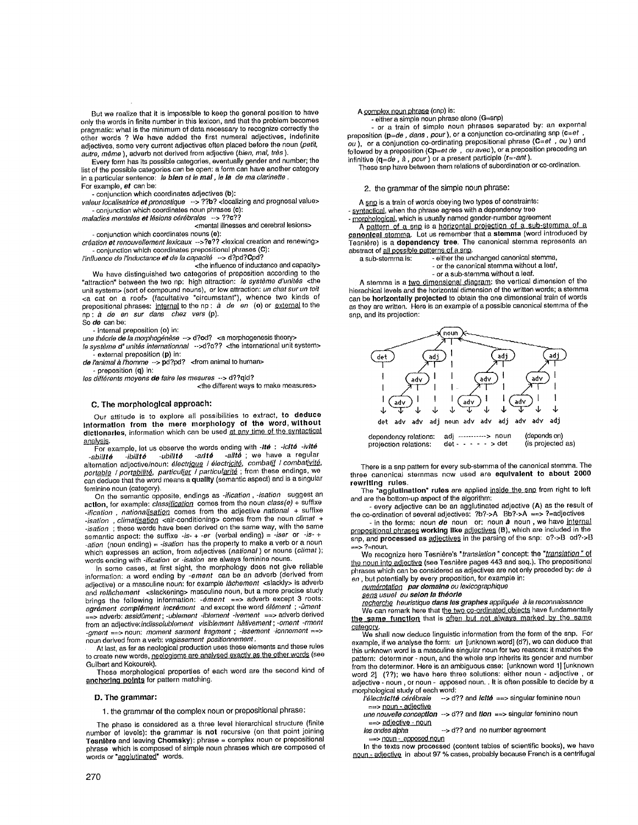But we realize that it is impossible to keep the general position to have only the words in finite number in this lexicon, and that the problem becomes pragmatic: what is the minimum of data necessary to recognize correctly the other words ? We have added the first numeral adjectives, indefinite adjectives, some very current adjectives often placed before the noun *(petit,*   $a$ utre, même ), adverb not derived from adjective *(bien, mal, très* ).

Every form has its possible categories, eventually gender and number; the list of the possible categories can be open: a form can have another category in a particular sentence: *le blen et le real, le la de ma clarinette .*  For example, *et* can be:

**-** conjunction which coordinates adjectives (b):

valeur localisatrice et pronostique --> ??b? <localizing and prognosal value> - conjunction which coordinates noun phrases (c):

maladies mentales et lésions cérébrales --> ??c??

<mental illnesses and cerebral lesions> **-** conjunction which coordinates nouns (e):

*création et renouvellement lexicaux -->?e??* <lexical creation and renewing> **-** conjunction which coordinates prepositional phrases (C):

*I'influence de I'inductance at de la capacit6* --> d?pd?Opd?

<the influence of inductance and capacity> We have distinguished two categories of preposition according to the<br>"attraction" between the two np: high attraction: *le système d'unités* <the<br>unit system> (sort of compound nouns), or low attraction: *un chat sur un to*  $\alpha$  cat on a roof> (facultative "circumstant"), whence two kinds of prepositional phrases: internal to the np : *à de en* (o) or external to the np: *à de en sur dans chez vers* (p). So de can be:

**-** internal preposition (o) in:

*une théorie de la morphogénèse --> d?od?* <a morphogenesis theory>

*le système d' unités internationnal* -->d?o?? <the international unit system> external preposition (p) in:

*de ranimal & rhomme --> pd?pd?* <fromanimaltohuman>

preposition (q) in:

*Ies différents moyens de faire les mesures --> d??qid?* 

<the different ways to make measures>

#### C. The morphological approach:

Our attitude is to explore all possibilities to extract, to **deduce Information from the mere morphology of the word, without**  dictionaries, information which can be used at any time of the syntactical analysis.

For example, lot us observe the words ending with *-Ire) : -icltd -ivit6*  abil**ité** -ibil**ité** -ubil**ité -arité -alité** ; we have a régular<br>alternation adjective/noun: électr<u>ique</u> / électr<u>icité</u>, combatif / combativité,<br>portable / portabilité, particulier / particul<u>arité</u> ; from these endings feminine noun (category).

On the semantic opposite, endings as *-ification, -isation* suggest an action, for example: *classification* comes from the noun *class(e)* + suffixe -ification, nationalisation comes from the adjective *national* + suffixe *-isation*, *climatisation* <air-conditioning> comes from the noun *climat* + *-isation* ; these words have been derived on the same way, with the same semantic aspect: the suffixe *-is- + -er* (verbal ending) = *.tsar* or *-is- + -ation* (noun ending) = *-isation* has the property to make a verb or a noun which expresses an action, from adjectives *(national)* or nouns *(cfimat);*  words ending with *-ification* or *-isation* are always feminine nouns.

In some cases, at first sight, the morphology does not give reliable information: a word ending by *-ement* can be an adverb (derived from adjective) or a masculine noun: for example *lachement* <slackly> is adverb and *rel&chement* <slackening> masculine noun, but a more precise study brings the following information: -  $\theta$ ment ==> adverb except 3 roots:  $a$ grement complément incrément and except the word element ; - ûment ==> adverb: *assidOment; -ublement -iblement -ivement* ==> adverb derived from an adjective:indissolublement visiblement hâtivement ; -oment -rment *-gment* ==> noun: *moment sarment fragment ; -issement -ionnement* ==> noun derived from a verb: *vagissement positionnement,* 

At last, as far as neological production uses these elements and these rules to create new words, neologisms are analysed exactly as the other words (see Guilbert and Kokourek).

These morphological properties of each word are the second kind of anchoring points for pattern matching.

## D. The **grammar:**

1. the grammar of the complex noun or prepositional phrase:

The phase is considered as a three level hierarchical structure (finite number of levels): the grammar is not recursive (on that point joining **Tesnlbre** and leaving Chomsky): phrase = complex noun or prepositional phrase which is composed of simple noun phrases which are composed of words or "agglutinated" words.

## A complex noun phrase (cnp) is:

- either a simple noun phrase alone (G=snp) **-** or a train of simple noun phrases separated by: an expernal preposition (p=de, dans, pour), or a conjunction co-ordinating snp (c=et, *ou ),* or a conjunction co-ordinating prepositional phrase (C=et *, ou)* and followed by a preposition (Cp=et *de , ou avac),* or a preposition preceding an infinitive (**q**=*de,à,pour*)or a present participle (**r**≃-ant ).

These snp have between them relations of subordination or co-ordination.

## 2. the grammar of the simple noun phrase:

A snp is a train of words obeying two types of constraints:

- syntactical, when the phrase agrees with a dependency tree

- morphological, which is usually named gender-number agreement

A pattern of a snp is a horizontal projection of a sub-stemma of a canonical stemma. Let us remember that a stemma (word introduced by Tesnière) is a **dependency tree**. The canonical stemma represents an abstract of all possible patterns of a snp.<br>a sub-stemma is: - either the un

- either the unchanged canonical stemma,

- or the canonical stemma without a leaf,
- or a sub-stemma without a leaf.

A stemma is a two dimensional diagram: the vertical dimension of the hierachical levels and the horizontal dimension of the written words; a stemma can be horizontally projected to obtain the one dimensional train of words as they are written. Here is an example of a possible canonical stemma of the snp, and its projection:



There is a snp pattern for every sub-stemma of the canonical stemma. The three canonical sternmas now used are equivalent to about 2000 rewriting **rules.** 

The "agglutination" rules are applied inside the snp from right to left and are the bottora-up aspect of the algorithm:

**-** every adjective can be an agglutinated adjective (A) as the result of the co-ordination of several adjectives: ?b?->A Bb?->A ==> ?=adjectives

in the forms: noun *de* noun or: noun *a* noun, we have internal prepositional phrases working like adjectives (B), which are included in the snp, and processed as adjectives in the parsing of the snp: o?->B od?->B ==> ?=noun.

We recognize here Tesnière's "translation " concept: the "*translation* " of the noun into adjective (see Tesnière pages 443 and seq.). The prepositional phrases which can be considered as adjectives are not only preceded by: *de & en,* but potentially by every preposition, for example in:

*t]g.~ par domalna ou lexicographique* 

sens usual ou selon la théorie

*[Ag\_b.EgJ2#. heuristique clans los graphes appliqu~e ~ la reconnaissance*  We can remark here that the two co-ordinated objects have fundamentally the same function that is often but not always marked by the same

category. We shall now deduce linguistic information from the form of the snp. For example, if we analyse the form: *un* [unknown.word] (d?), we can deduce that this unknown word is a masculine singular noun for two reasons: it matches the pattern: determiner - noun, and the whole snp inherits its gender and number from the determiner. Here is an ambiguous case: [unknown word 1] [unknown word 2] (??); we have here three solutions: either noun - adjective , or adjective - noun, or noun - apposed noun. . It is often possible to decide by a

morphological study of each word:<br>"if dectricité cérébrale --> d *I*-> d?? and *Iclté* ==> singular feminine noun

==> noun - ad!ective

*une nouvelle conception -->* d?? and *tlon* ==> singular feminine noun ==> adjective - noun

*lee andes alpha* --> d?? and no number agreement

==> noun -\_apposed noun

In the texts now processed (content tables of scientific books), we have noun - adjective in about 97 % cases, probably because French is a centrifugal